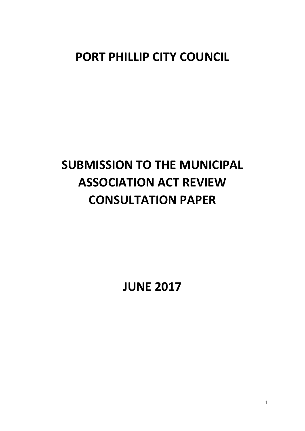# **PORT PHILLIP CITY COUNCIL**

# **SUBMISSION TO THE MUNICIPAL ASSOCIATION ACT REVIEW CONSULTATION PAPER**

**JUNE 2017**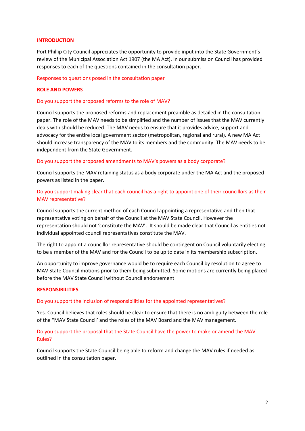# **INTRODUCTION**

Port Phillip City Council appreciates the opportunity to provide input into the State Government's review of the Municipal Association Act 1907 (the MA Act). In our submission Council has provided responses to each of the questions contained in the consultation paper.

# Responses to questions posed in the consultation paper

# **ROLE AND POWERS**

# Do you support the proposed reforms to the role of MAV?

Council supports the proposed reforms and replacement preamble as detailed in the consultation paper. The role of the MAV needs to be simplified and the number of issues that the MAV currently deals with should be reduced. The MAV needs to ensure that it provides advice, support and advocacy for the entire local government sector (metropolitan, regional and rural). A new MA Act should increase transparency of the MAV to its members and the community. The MAV needs to be independent from the State Government.

# Do you support the proposed amendments to MAV's powers as a body corporate?

Council supports the MAV retaining status as a body corporate under the MA Act and the proposed powers as listed in the paper.

# Do you support making clear that each council has a right to appoint one of their councillors as their MAV representative?

Council supports the current method of each Council appointing a representative and then that representative voting on behalf of the Council at the MAV State Council. However the representation should not 'constitute the MAV'. It should be made clear that Council as entities not individual appointed council representatives constitute the MAV.

The right to appoint a councillor representative should be contingent on Council voluntarily electing to be a member of the MAV and for the Council to be up to date in its membership subscription.

An opportunity to improve governance would be to require each Council by resolution to agree to MAV State Council motions prior to them being submitted. Some motions are currently being placed before the MAV State Council without Council endorsement.

#### **RESPONSIBILITIES**

Do you support the inclusion of responsibilities for the appointed representatives?

Yes. Council believes that roles should be clear to ensure that there is no ambiguity between the role of the "MAV State Council' and the roles of the MAV Board and the MAV management.

# Do you support the proposal that the State Council have the power to make or amend the MAV Rules?

Council supports the State Council being able to reform and change the MAV rules if needed as outlined in the consultation paper.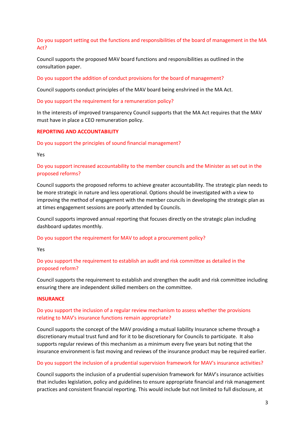Do you support setting out the functions and responsibilities of the board of management in the MA Act?

Council supports the proposed MAV board functions and responsibilities as outlined in the consultation paper.

Do you support the addition of conduct provisions for the board of management?

Council supports conduct principles of the MAV board being enshrined in the MA Act.

Do you support the requirement for a remuneration policy?

In the interests of improved transparency Council supports that the MA Act requires that the MAV must have in place a CEO remuneration policy.

# **REPORTING AND ACCOUNTABILITY**

Do you support the principles of sound financial management?

Yes

Do you support increased accountability to the member councils and the Minister as set out in the proposed reforms?

Council supports the proposed reforms to achieve greater accountability. The strategic plan needs to be more strategic in nature and less operational. Options should be investigated with a view to improving the method of engagement with the member councils in developing the strategic plan as at times engagement sessions are poorly attended by Councils.

Council supports improved annual reporting that focuses directly on the strategic plan including dashboard updates monthly.

Do you support the requirement for MAV to adopt a procurement policy?

Yes

Do you support the requirement to establish an audit and risk committee as detailed in the proposed reform?

Council supports the requirement to establish and strengthen the audit and risk committee including ensuring there are independent skilled members on the committee.

#### **INSURANCE**

# Do you support the inclusion of a regular review mechanism to assess whether the provisions relating to MAV's insurance functions remain appropriate?

Council supports the concept of the MAV providing a mutual liability Insurance scheme through a discretionary mutual trust fund and for it to be discretionary for Councils to participate. It also supports regular reviews of this mechanism as a minimum every five years but noting that the insurance environment is fast moving and reviews of the insurance product may be required earlier.

# Do you support the inclusion of a prudential supervision framework for MAV's insurance activities?

Council supports the inclusion of a prudential supervision framework for MAV's insurance activities that includes legislation, policy and guidelines to ensure appropriate financial and risk management practices and consistent financial reporting. This would include but not limited to full disclosure, at